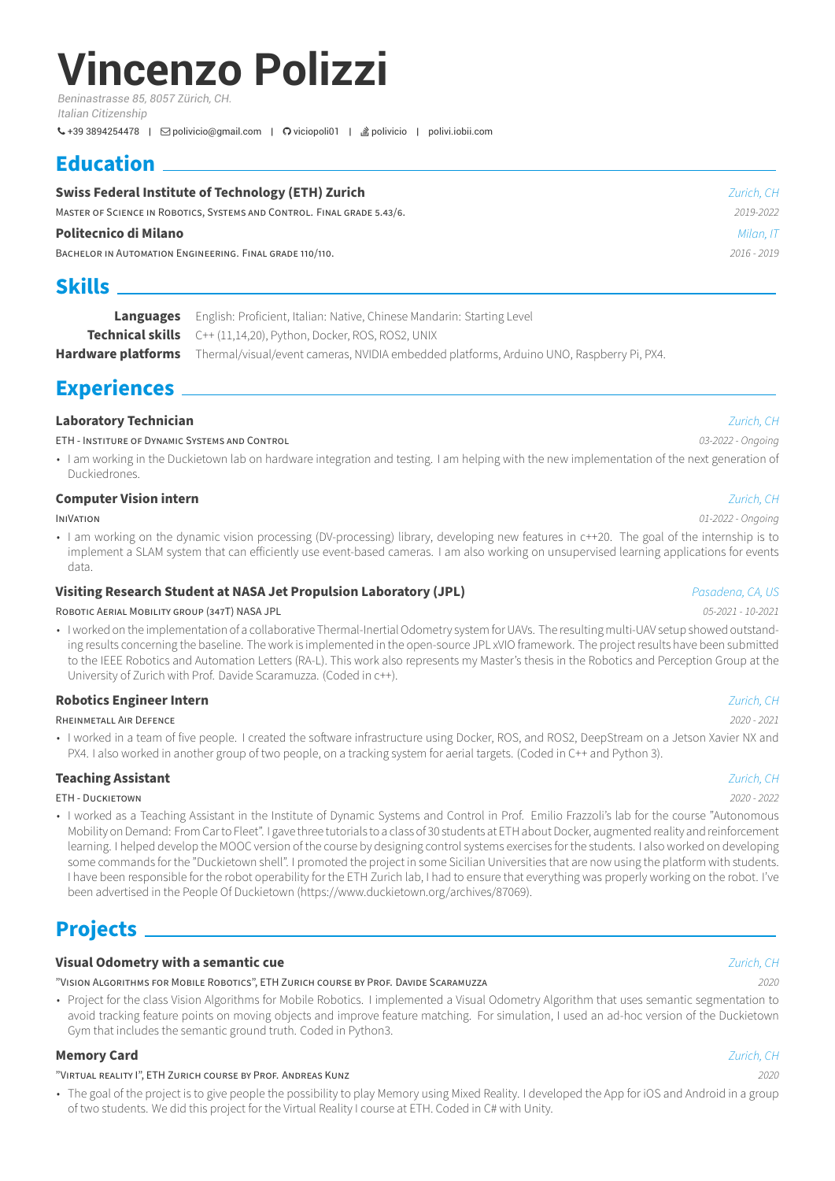# **Vincenzo Polizzi**

*Beninastrasse 85, 8057 Zürich, CH. Italian Citizenship*

+39 3894254478 | [polivicio@gmail.com](mailto:polivicio@gmail.com) | [viciopoli01](https://github.com/viciopoli01) | [polivicio](https://stackoverflow.com/users/8020147) | polivi.iobii.com

# **Education**

| <b>Swiss Federal Institute of Technology (ETH) Zurich</b>                 | Zurich, CH |
|---------------------------------------------------------------------------|------------|
| MASTER OF SCIENCE IN ROBOTICS, SYSTEMS AND CONTROL. FINAL GRADE 5.43/6.   | 2019-2022  |
| Politecnico di Milano                                                     | Milan, IT  |
| $2016 - 2019$<br>BACHELOR IN AUTOMATION ENGINEERING. FINAL GRADE 110/110. |            |
| <b>Skills</b>                                                             |            |

| <b>Languages</b> English: Proficient, Italian: Native, Chinese Mandarin: Starting Level                     |  |
|-------------------------------------------------------------------------------------------------------------|--|
| <b>Technical skills</b> C++ (11,14,20), Python, Docker, ROS, ROS2, UNIX                                     |  |
| Hardware platforms Thermal/visual/event cameras, NVIDIA embedded platforms, Arduino UNO, Raspberry Pi, PX4. |  |

## **Experiences**

### **Laboratory Technician** *Zurich, CH*

ETH ‑ INSTiTURE OF DYNAMiC SYSTEMS AND CONTROL *03‑2022 ‑ Ongoing*

• I am working in the Duckietown lab on hardware integration and testing. I am helping with the new implementation of the next generation of Duckiedrones.

### **Computer Vision intern** *Zurich, CH*

• I am working on the dynamic vision processing (DV-processing) library, developing new features in c++20. The goal of the internship is to implement a SLAM system that can efficiently use event-based cameras. I am also working on unsupervised learning applications for events data.

### **Visiting Research Student at NASA Jet Propulsion Laboratory (JPL)** *Pasadena, CA, US*

ROBOTiC AERiAL MOBiLiTY GROUP (347T) NASA JPL *05‑2021 ‑ 10‑2021*

• I worked on the implementation of a collaborative Thermal-Inertial Odometry system for UAVs. The resulting multi-UAV setup showed outstanding results concerning the baseline. The work is implemented in the open-source JPL xVIO framework. The project results have been submitted to the IEEE Robotics and Automation Letters (RA‑L). This work also represents my Master's thesis in the Robotics and Perception Group at the University of Zurich with Prof. Davide Scaramuzza. (Coded in c++).

### **Robotics Engineer Intern** *Zurich, CH*

RHEiNMETALL AiR DEFENCE *2020 ‑ 2021*

• I worked in a team of five people. I created the software infrastructure using Docker, ROS, and ROS2, DeepStream on a Jetson Xavier NX and PX4. I also worked in another group of two people, on a tracking system for aerial targets. (Coded in C++ and Python 3).

### **Teaching Assistant** *Zurich, CH*

ETH ‑ DUCKiETOWN *2020 ‑ 2022*

• I worked as a Teaching Assistant in the Institute of Dynamic Systems and Control in Prof. Emilio Frazzoli's lab for the course "Autonomous Mobility on Demand: From Car to Fleet". I gave three tutorials to a class of 30 students at ETH about Docker, augmented reality and reinforcement learning. I helped develop the MOOC version of the course by designing control systems exercises for the students. I also worked on developing some commands for the "Duckietown shell". I promoted the project in some Sicilian Universities that are now using the platform with students. I have been responsible for the robot operability for the ETH Zurich lab, I had to ensure that everything was properly working on the robot. I've been advertised in the People Of Duckietown (https://www.duckietown.org/archives/87069).

# **Projects**

### **Visual Odometry with a semantic cue** *Zurich, CH*

"ViSiON ALGORiTHMS FOR MOBiLE ROBOTiCS", ETH ZURiCH COURSE BY PROF. DAViDE SCARAMUZZA *2020*

• Project for the class Vision Algorithms for Mobile Robotics. I implemented a Visual Odometry Algorithm that uses semantic segmentation to avoid tracking feature points on moving objects and improve feature matching. For simulation, I used an ad-hoc version of the Duckietown Gym that includes the semantic ground truth. Coded in Python3.

### **Memory Card** *Zurich, CH*

### "ViRTUAL REALiTY I", ETH ZURiCH COURSE BY PROF. ANDREAS KUNZ *2020*

• The goal of the project is to give people the possibility to play Memory using Mixed Reality. I developed the App for iOS and Android in a group of two students. We did this project for the Virtual Reality I course at ETH. Coded in C# with Unity.

### INiVATiON *01‑2022 ‑ Ongoing*